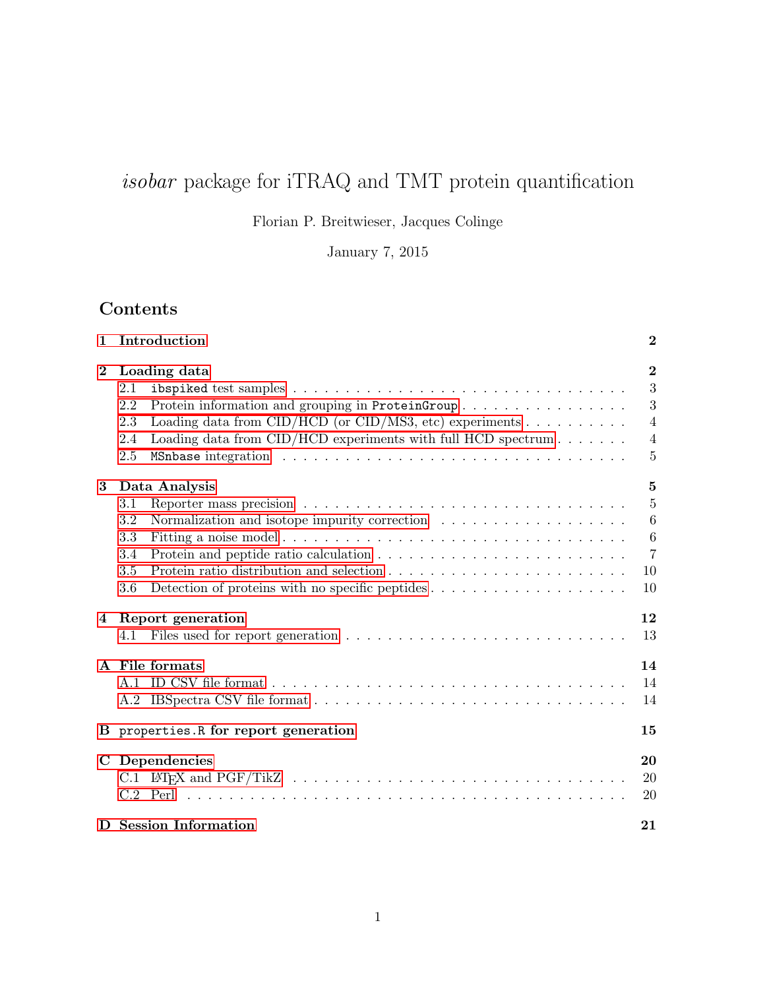# $isobar$  package for iTRAQ and TMT protein quantification

Florian P. Breitwieser, Jacques Colinge

January 7, 2015

## Contents

| 1        | Introduction                                                                                       | $\boldsymbol{2}$ |
|----------|----------------------------------------------------------------------------------------------------|------------------|
| $\bf{2}$ | Loading data                                                                                       | $\bf{2}$         |
|          | 2.1                                                                                                | 3                |
|          | Protein information and grouping in ProteinGroup<br>2.2                                            | 3                |
|          | Loading data from CID/HCD (or CID/MS3, etc) experiments $\ldots \ldots \ldots$<br>2.3              | $\overline{4}$   |
|          | Loading data from $CID/HCD$ experiments with full HCD spectrum $\ldots \ldots$<br>2.4              | $\overline{4}$   |
|          | 2.5                                                                                                | 5                |
| 3        | Data Analysis                                                                                      | 5                |
|          | 3.1                                                                                                | 5                |
|          | 3.2                                                                                                | $\boldsymbol{6}$ |
|          | 3.3                                                                                                | 6                |
|          | 3.4                                                                                                | $\overline{7}$   |
|          | 3.5                                                                                                | 10               |
|          | Detection of proteins with no specific peptides $\dots \dots \dots \dots \dots \dots \dots$<br>3.6 | 10               |
| 4        | Report generation                                                                                  | 12               |
|          | 4.1                                                                                                | 13               |
|          | A File formats                                                                                     | 14               |
|          |                                                                                                    | 14               |
|          |                                                                                                    | 14               |
|          | B properties. R for report generation                                                              | 15               |
| C        | Dependencies                                                                                       | 20               |
|          |                                                                                                    | 20               |
|          |                                                                                                    | 20               |
|          | D Session Information                                                                              | 21               |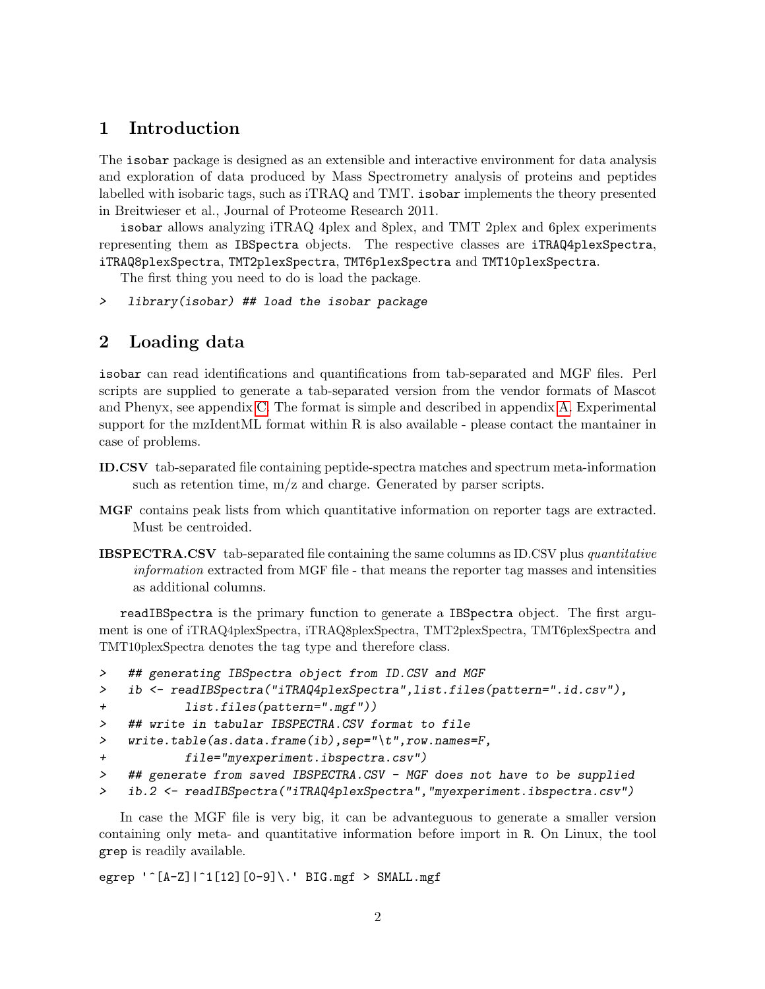## <span id="page-1-0"></span>1 Introduction

The isobar package is designed as an extensible and interactive environment for data analysis and exploration of data produced by Mass Spectrometry analysis of proteins and peptides labelled with isobaric tags, such as iTRAQ and TMT. isobar implements the theory presented in Breitwieser et al., Journal of Proteome Research 2011.

isobar allows analyzing iTRAQ 4plex and 8plex, and TMT 2plex and 6plex experiments representing them as IBSpectra objects. The respective classes are iTRAQ4plexSpectra, iTRAQ8plexSpectra, TMT2plexSpectra, TMT6plexSpectra and TMT10plexSpectra.

The first thing you need to do is load the package.

> library(isobar) ## load the isobar package

## <span id="page-1-1"></span>2 Loading data

isobar can read identifications and quantifications from tab-separated and MGF files. Perl scripts are supplied to generate a tab-separated version from the vendor formats of Mascot and Phenyx, see appendix [C.](#page-19-0) The format is simple and described in appendix [A.](#page-13-0) Experimental support for the mzIdentML format within R is also available - please contact the mantainer in case of problems.

- ID.CSV tab-separated file containing peptide-spectra matches and spectrum meta-information such as retention time, m/z and charge. Generated by parser scripts.
- MGF contains peak lists from which quantitative information on reporter tags are extracted. Must be centroided.
- **IBSPECTRA.CSV** tab-separated file containing the same columns as ID.CSV plus *quantitative* information extracted from MGF file - that means the reporter tag masses and intensities as additional columns.

readIBSpectra is the primary function to generate a IBSpectra object. The first argument is one of iTRAQ4plexSpectra, iTRAQ8plexSpectra, TMT2plexSpectra, TMT6plexSpectra and TMT10plexSpectra denotes the tag type and therefore class.

```
> ## generating IBSpectra object from ID.CSV and MGF
> ib <- readIBSpectra("iTRAQ4plexSpectra",list.files(pattern=".id.csv"),
+ list.files(pattern=".mgf"))
> ## write in tabular IBSPECTRA.CSV format to file
> write.table(as.data.frame(ib),sep="\t",row.names=F,
+ file="myexperiment.ibspectra.csv")
> ## generate from saved IBSPECTRA.CSV - MGF does not have to be supplied
> ib.2 <- readIBSpectra("iTRAQ4plexSpectra","myexperiment.ibspectra.csv")
```
In case the MGF file is very big, it can be advanteguous to generate a smaller version containing only meta- and quantitative information before import in R. On Linux, the tool grep is readily available.

egrep '^[A-Z]|^1[12][0-9]\.' BIG.mgf > SMALL.mgf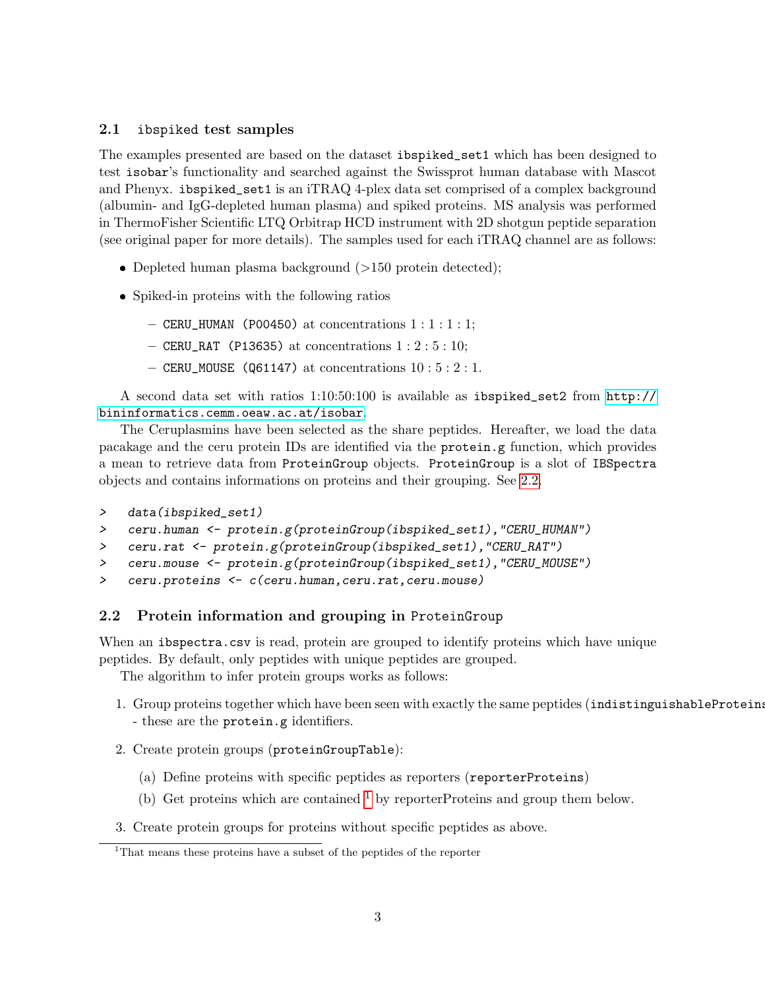#### <span id="page-2-0"></span>2.1 ibspiked test samples

The examples presented are based on the dataset ibspiked\_set1 which has been designed to test isobar's functionality and searched against the Swissprot human database with Mascot and Phenyx. ibspiked\_set1 is an iTRAQ 4-plex data set comprised of a complex background (albumin- and IgG-depleted human plasma) and spiked proteins. MS analysis was performed in ThermoFisher Scientific LTQ Orbitrap HCD instrument with 2D shotgun peptide separation (see original paper for more details). The samples used for each iTRAQ channel are as follows:

- Depleted human plasma background (>150 protein detected);
- Spiked-in proteins with the following ratios
	- $-$  CERU\_HUMAN (P00450) at concentrations  $1:1:1:1;$
	- $-$  CERU\_RAT (P13635) at concentrations  $1:2:5:10;$
	- CERU\_MOUSE (Q61147) at concentrations  $10:5:2:1$ .

A second data set with ratios 1:10:50:100 is available as ibspiked\_set2 from [http://](http://bininformatics.cemm.oeaw.ac.at/isobar) [bininformatics.cemm.oeaw.ac.at/isobar](http://bininformatics.cemm.oeaw.ac.at/isobar).

The Ceruplasmins have been selected as the share peptides. Hereafter, we load the data pacakage and the ceru protein IDs are identified via the protein.g function, which provides a mean to retrieve data from ProteinGroup objects. ProteinGroup is a slot of IBSpectra objects and contains informations on proteins and their grouping. See [2.2.](#page-2-1)

```
> data(ibspiked_set1)
```
- > ceru.human <- protein.g(proteinGroup(ibspiked\_set1),"CERU\_HUMAN")
- > ceru.rat <- protein.g(proteinGroup(ibspiked\_set1),"CERU\_RAT")
- > ceru.mouse <- protein.g(proteinGroup(ibspiked\_set1),"CERU\_MOUSE")
- > ceru.proteins <- c(ceru.human,ceru.rat,ceru.mouse)

#### <span id="page-2-1"></span>2.2 Protein information and grouping in ProteinGroup

When an ibspectra.csv is read, protein are grouped to identify proteins which have unique peptides. By default, only peptides with unique peptides are grouped.

The algorithm to infer protein groups works as follows:

- 1. Group proteins together which have been seen with exactly the same peptides (indistinguishableProteins) - these are the protein.g identifiers.
- 2. Create protein groups (proteinGroupTable):
	- (a) Define proteins with specific peptides as reporters (reporterProteins)
	- (b) Get proteins which are contained  $<sup>1</sup>$  $<sup>1</sup>$  $<sup>1</sup>$  by reporterProteins and group them below.</sup>
- 3. Create protein groups for proteins without specific peptides as above.

<span id="page-2-2"></span><sup>1</sup>That means these proteins have a subset of the peptides of the reporter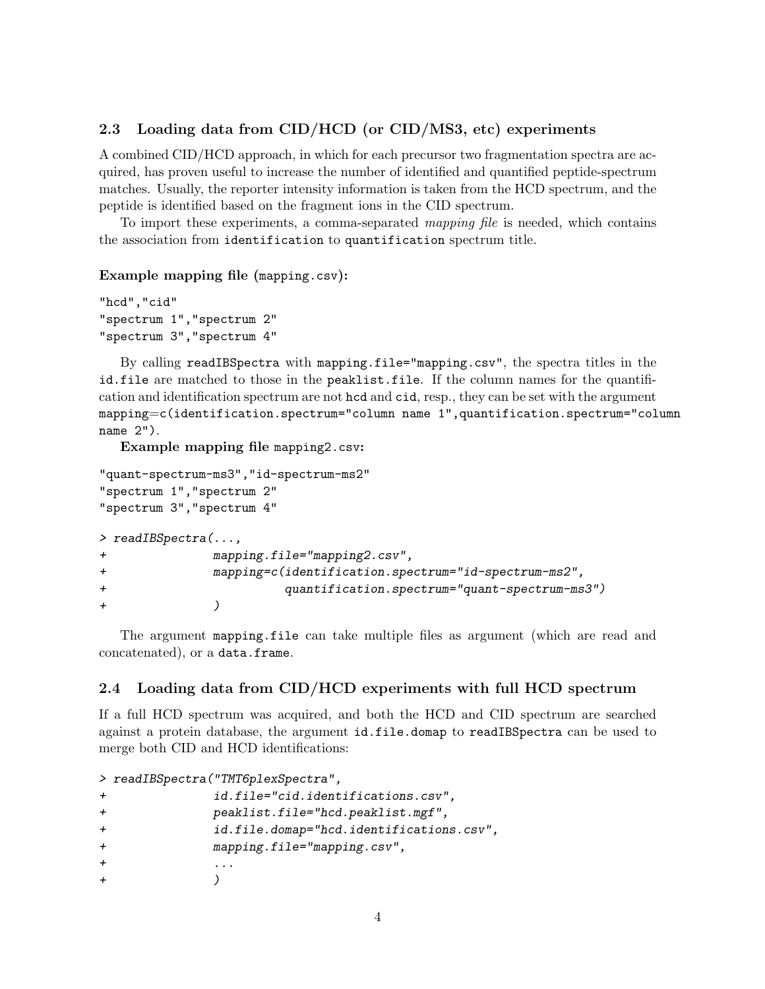#### <span id="page-3-0"></span>2.3 Loading data from  $\text{CID}/\text{HCD}$  (or  $\text{CID}/\text{MS3}$ , etc) experiments

A combined CID/HCD approach, in which for each precursor two fragmentation spectra are acquired, has proven useful to increase the number of identified and quantified peptide-spectrum matches. Usually, the reporter intensity information is taken from the HCD spectrum, and the peptide is identified based on the fragment ions in the CID spectrum.

To import these experiments, a comma-separated mapping file is needed, which contains the association from identification to quantification spectrum title.

#### Example mapping file (mapping.csv):

```
"hcd","cid"
"spectrum 1","spectrum 2"
"spectrum 3","spectrum 4"
```
By calling readIBSpectra with mapping.file="mapping.csv", the spectra titles in the id.file are matched to those in the peaklist.file. If the column names for the quantification and identification spectrum are not hcd and cid, resp., they can be set with the argument mapping=c(identification.spectrum="column name 1",quantification.spectrum="column name 2").

Example mapping file mapping2.csv:

```
"quant-spectrum-ms3","id-spectrum-ms2"
"spectrum 1","spectrum 2"
"spectrum 3","spectrum 4"
> readIBSpectra(...,
+ mapping.file="mapping2.csv",
+ mapping=c(identification.spectrum="id-spectrum-ms2",
+ quantification.spectrum="quant-spectrum-ms3")
+ )
```
The argument mapping.file can take multiple files as argument (which are read and concatenated), or a data.frame.

#### <span id="page-3-1"></span>2.4 Loading data from CID/HCD experiments with full HCD spectrum

If a full HCD spectrum was acquired, and both the HCD and CID spectrum are searched against a protein database, the argument id.file.domap to readIBSpectra can be used to merge both CID and HCD identifications:

```
> readIBSpectra("TMT6plexSpectra",
+ id.file="cid.identifications.csv",
+ peaklist.file="hcd.peaklist.mgf",
+ id.file.domap="hcd.identifications.csv",
+ mapping.file="mapping.csv",
+ ... \qquad \qquad \ldots+ )
```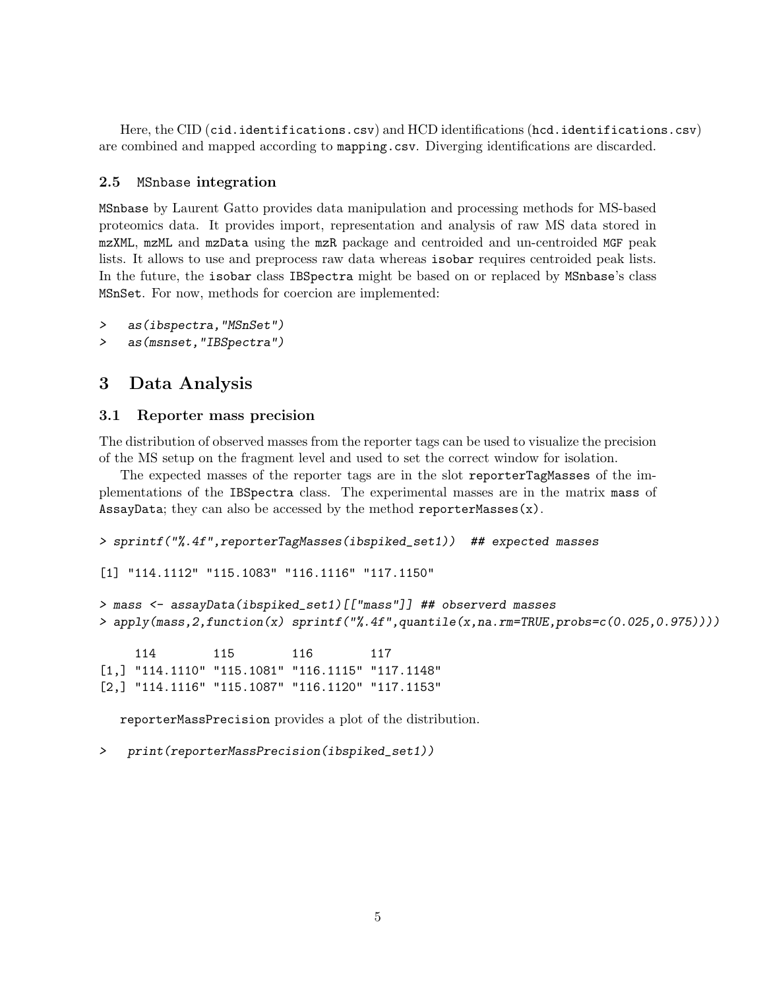Here, the CID (cid.identifications.csv) and HCD identifications (hcd.identifications.csv) are combined and mapped according to mapping.csv. Diverging identifications are discarded.

#### <span id="page-4-0"></span>2.5 MSnbase integration

MSnbase by Laurent Gatto provides data manipulation and processing methods for MS-based proteomics data. It provides import, representation and analysis of raw MS data stored in mzXML, mzML and mzData using the mzR package and centroided and un-centroided MGF peak lists. It allows to use and preprocess raw data whereas isobar requires centroided peak lists. In the future, the isobar class IBSpectra might be based on or replaced by MSnbase's class MSnSet. For now, methods for coercion are implemented:

```
> as(ibspectra,"MSnSet")
```
> as(msnset,"IBSpectra")

## <span id="page-4-1"></span>3 Data Analysis

#### <span id="page-4-2"></span>3.1 Reporter mass precision

The distribution of observed masses from the reporter tags can be used to visualize the precision of the MS setup on the fragment level and used to set the correct window for isolation.

The expected masses of the reporter tags are in the slot reporterTagMasses of the implementations of the IBSpectra class. The experimental masses are in the matrix mass of AssayData; they can also be accessed by the method reporterMasses(x).

```
> sprintf("%.4f",reporterTagMasses(ibspiked_set1)) ## expected masses
```

```
[1] "114.1112" "115.1083" "116.1116" "117.1150"
```

```
> mass <- assayData(ibspiked_set1)[["mass"]] ## observerd masses
> apply(mass,2,function(x) sprintf("%.4f",quantile(x,na.rm=TRUE,probs=c(0.025,0.975))))
```
114 115 116 117 [1,] "114.1110" "115.1081" "116.1115" "117.1148" [2,] "114.1116" "115.1087" "116.1120" "117.1153"

reporterMassPrecision provides a plot of the distribution.

> print(reporterMassPrecision(ibspiked\_set1))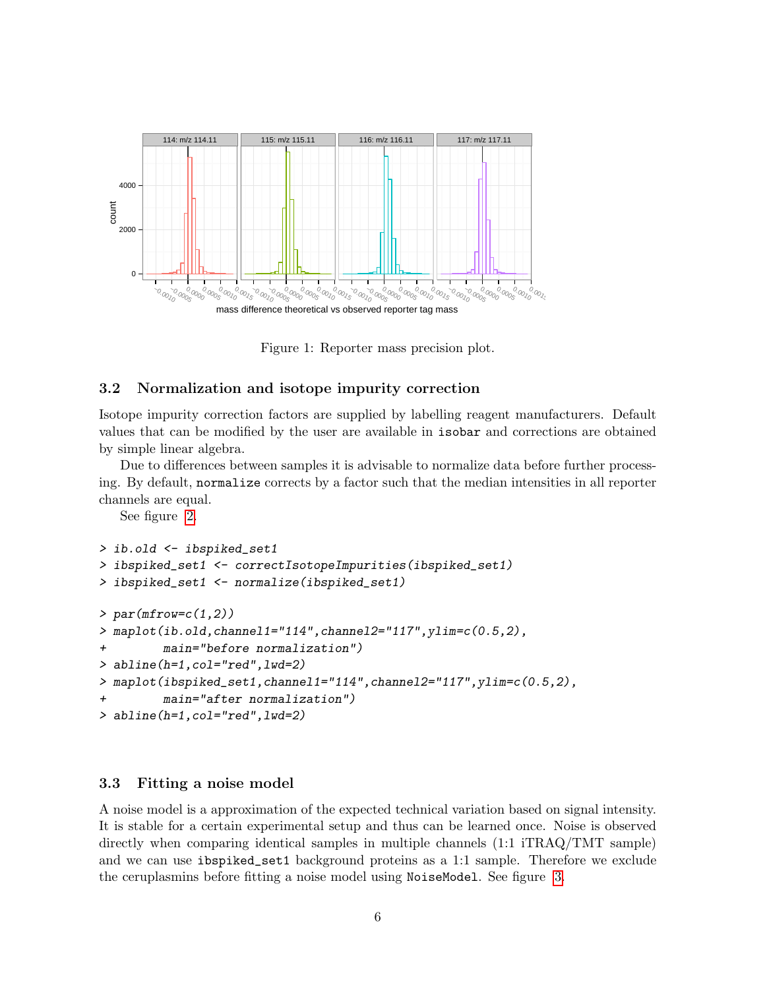

Figure 1: Reporter mass precision plot.

#### <span id="page-5-0"></span>3.2 Normalization and isotope impurity correction

Isotope impurity correction factors are supplied by labelling reagent manufacturers. Default values that can be modified by the user are available in isobar and corrections are obtained by simple linear algebra.

Due to differences between samples it is advisable to normalize data before further processing. By default, normalize corrects by a factor such that the median intensities in all reporter channels are equal.

See figure [2.](#page-6-1)

```
> ib.old <- ibspiked_set1
> ibspiked_set1 <- correctIsotopeImpurities(ibspiked_set1)
> ibspiked_set1 <- normalize(ibspiked_set1)
> par(mfrow=c(1,2))> maplot(ib.old,channel1="114",channel2="117",ylim=c(0.5,2),
+ main="before normalization")
> abline(h=1,col="red",lwd=2)
> maplot(ibspiked_set1,channel1="114",channel2="117",ylim=c(0.5,2),
        main="after normalization")
> abline(h=1,col="red",lwd=2)
```
#### <span id="page-5-1"></span>3.3 Fitting a noise model

A noise model is a approximation of the expected technical variation based on signal intensity. It is stable for a certain experimental setup and thus can be learned once. Noise is observed directly when comparing identical samples in multiple channels (1:1 iTRAQ/TMT sample) and we can use ibspiked\_set1 background proteins as a 1:1 sample. Therefore we exclude the ceruplasmins before fitting a noise model using NoiseModel. See figure [3.](#page-7-0)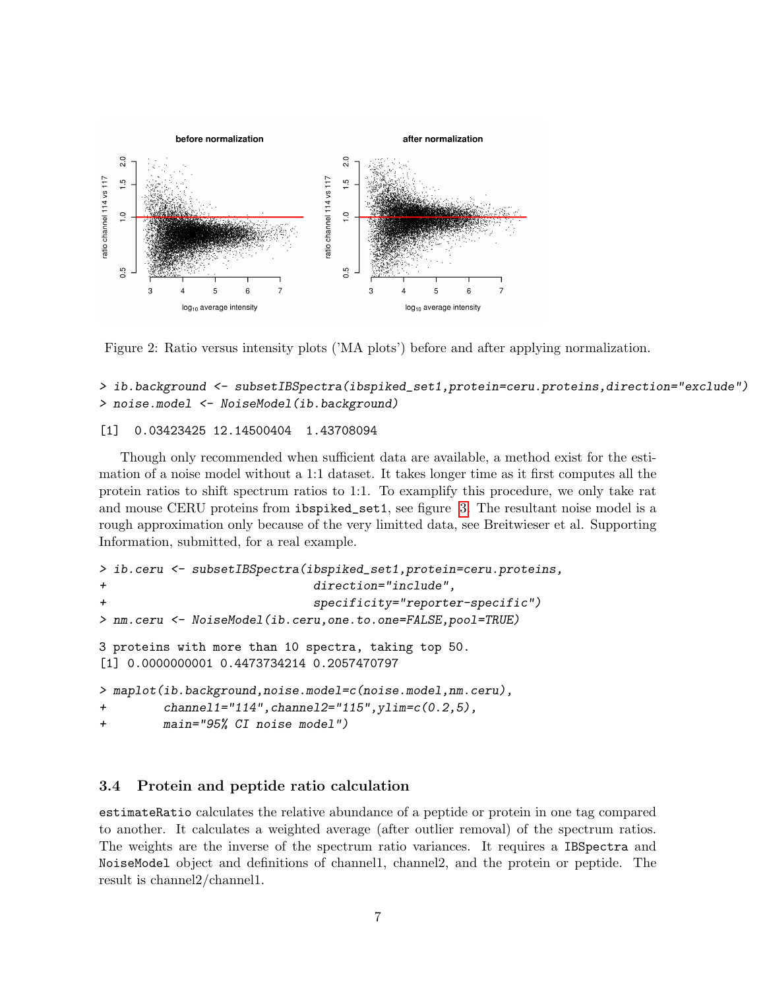

<span id="page-6-1"></span>Figure 2: Ratio versus intensity plots ('MA plots') before and after applying normalization.

#### > ib.background <- subsetIBSpectra(ibspiked\_set1,protein=ceru.proteins,direction="exclude") > noise.model <- NoiseModel(ib.background)

#### [1] 0.03423425 12.14500404 1.43708094

Though only recommended when sufficient data are available, a method exist for the estimation of a noise model without a 1:1 dataset. It takes longer time as it first computes all the protein ratios to shift spectrum ratios to 1:1. To examplify this procedure, we only take rat and mouse CERU proteins from ibspiked\_set1, see figure [3.](#page-7-0) The resultant noise model is a rough approximation only because of the very limitted data, see Breitwieser et al. Supporting Information, submitted, for a real example.

```
> ib.ceru <- subsetIBSpectra(ibspiked_set1,protein=ceru.proteins,
+ direction="include",
                           specificity="reporter-specific")
> nm.ceru <- NoiseModel(ib.ceru,one.to.one=FALSE,pool=TRUE)
3 proteins with more than 10 spectra, taking top 50.
[1] 0.0000000001 0.4473734214 0.2057470797
> maplot(ib.background,noise.model=c(noise.model,nm.ceru),
+ channel1="114", channel2="115", ylim=c(0.2,5),
+ main="95% CI noise model")
```
#### <span id="page-6-0"></span>3.4 Protein and peptide ratio calculation

estimateRatio calculates the relative abundance of a peptide or protein in one tag compared to another. It calculates a weighted average (after outlier removal) of the spectrum ratios. The weights are the inverse of the spectrum ratio variances. It requires a IBSpectra and NoiseModel object and definitions of channel1, channel2, and the protein or peptide. The result is channel2/channel1.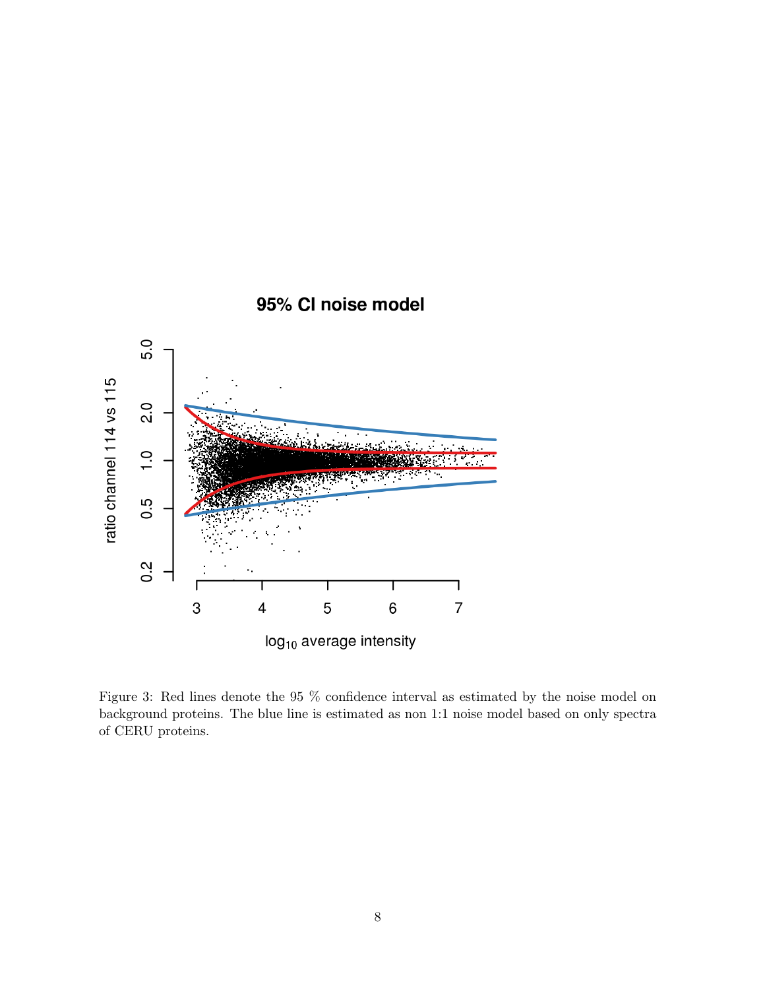

<span id="page-7-0"></span>Figure 3: Red lines denote the 95 % confidence interval as estimated by the noise model on background proteins. The blue line is estimated as non 1:1 noise model based on only spectra of CERU proteins.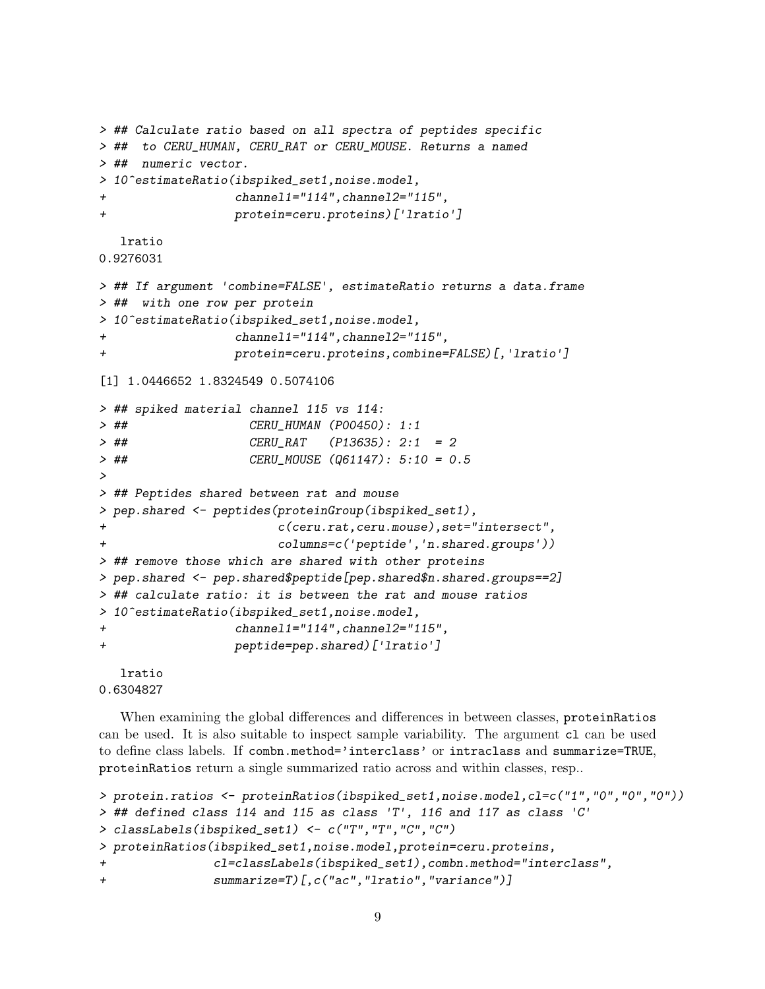```
> ## Calculate ratio based on all spectra of peptides specific
> ## to CERU_HUMAN, CERU_RAT or CERU_MOUSE. Returns a named
> ## numeric vector.
> 10^estimateRatio(ibspiked_set1,noise.model,
                channel1="114", channel2="115",
+ protein=ceru.proteins)['lratio']
  lratio
0.9276031
> ## If argument 'combine=FALSE', estimateRatio returns a data.frame
> ## with one row per protein
> 10^estimateRatio(ibspiked_set1,noise.model,
+ channel1="114",channel2="115",
+ protein=ceru.proteins,combine=FALSE)[,'lratio']
[1] 1.0446652 1.8324549 0.5074106
> ## spiked material channel 115 vs 114:
> ## CERU_HUMAN (P00450): 1:1
> ## CERU_RAT (P13635): 2:1 = 2
> ## CERU_MOUSE (Q61147): 5:10 = 0.5
>
> ## Peptides shared between rat and mouse
> pep.shared <- peptides(proteinGroup(ibspiked_set1),
+ c(ceru.rat,ceru.mouse),set="intersect",
+ columns=c('peptide','n.shared.groups'))
> ## remove those which are shared with other proteins
> pep.shared <- pep.shared$peptide[pep.shared$n.shared.groups==2]
> ## calculate ratio: it is between the rat and mouse ratios
> 10^estimateRatio(ibspiked_set1,noise.model,
+ channel1="114",channel2="115",
+ peptide=pep.shared)['lratio']
  lratio
```
0.6304827

When examining the global differences and differences in between classes, proteinRatios can be used. It is also suitable to inspect sample variability. The argument cl can be used to define class labels. If combn.method='interclass' or intraclass and summarize=TRUE, proteinRatios return a single summarized ratio across and within classes, resp..

```
> protein.ratios <- proteinRatios(ibspiked_set1,noise.model,cl=c("1","0","0","0"))
> ## defined class 114 and 115 as class 'T', 116 and 117 as class 'C'
> classLabels(ibspiked_set1) <- c("T","T","C","C")
> proteinRatios(ibspiked_set1,noise.model,protein=ceru.proteins,
               + cl=classLabels(ibspiked_set1),combn.method="interclass",
+ summarize=T)[,c("ac","lratio","variance")]
```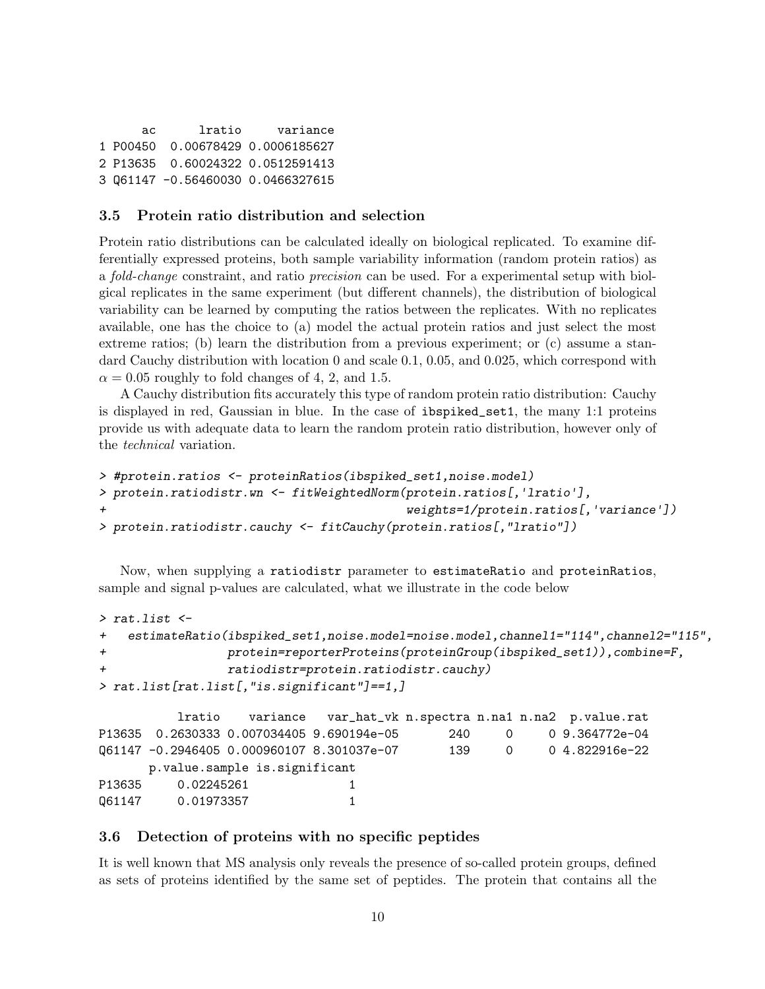```
ac lratio variance
1 P00450 0.00678429 0.0006185627
2 P13635 0.60024322 0.0512591413
3 Q61147 -0.56460030 0.0466327615
```
#### <span id="page-9-0"></span>3.5 Protein ratio distribution and selection

Protein ratio distributions can be calculated ideally on biological replicated. To examine differentially expressed proteins, both sample variability information (random protein ratios) as a fold-change constraint, and ratio precision can be used. For a experimental setup with biolgical replicates in the same experiment (but different channels), the distribution of biological variability can be learned by computing the ratios between the replicates. With no replicates available, one has the choice to (a) model the actual protein ratios and just select the most extreme ratios; (b) learn the distribution from a previous experiment; or (c) assume a standard Cauchy distribution with location 0 and scale 0.1, 0.05, and 0.025, which correspond with  $\alpha = 0.05$  roughly to fold changes of 4, 2, and 1.5.

A Cauchy distribution fits accurately this type of random protein ratio distribution: Cauchy is displayed in red, Gaussian in blue. In the case of ibspiked\_set1, the many 1:1 proteins provide us with adequate data to learn the random protein ratio distribution, however only of the technical variation.

```
> #protein.ratios <- proteinRatios(ibspiked_set1,noise.model)
> protein.ratiodistr.wn <- fitWeightedNorm(protein.ratios[,'lratio'],
+ weights=1/protein.ratios[,'variance'])
> protein.ratiodistr.cauchy <- fitCauchy(protein.ratios[,"lratio"])
```
Now, when supplying a ratiodistr parameter to estimateRatio and proteinRatios, sample and signal p-values are calculated, what we illustrate in the code below

```
> rat.list <-
+ estimateRatio(ibspiked_set1,noise.model=noise.model,channel1="114",channel2="115",
+ protein=reporterProteins(proteinGroup(ibspiked_set1)),combine=F,
+ ratiodistr=protein.ratiodistr.cauchy)
> rat.list[rat.list[,"is.significant"]==1,]
```
lratio variance var\_hat\_vk n.spectra n.na1 n.na2 p.value.rat P13635 0.2630333 0.007034405 9.690194e-05 240 0 0 9.364772e-04 Q61147 -0.2946405 0.000960107 8.301037e-07 139 0 0 4.822916e-22 p.value.sample is.significant P13635 0.02245261 1 Q61147 0.01973357 1

#### <span id="page-9-1"></span>3.6 Detection of proteins with no specific peptides

It is well known that MS analysis only reveals the presence of so-called protein groups, defined as sets of proteins identified by the same set of peptides. The protein that contains all the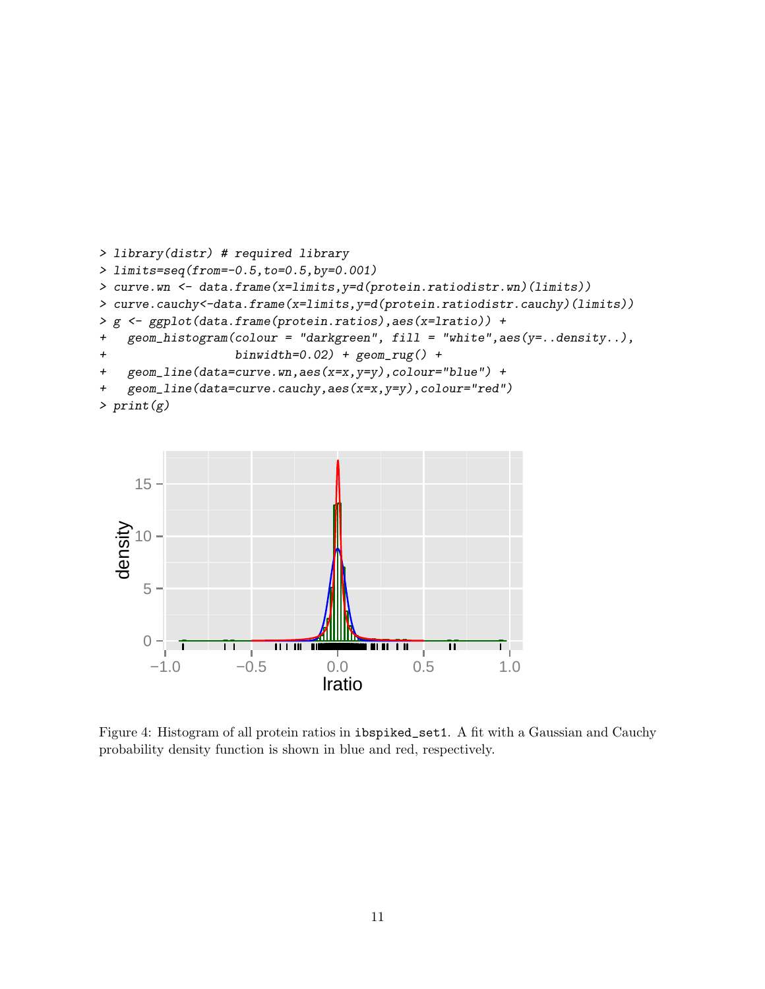```
> library(distr) # required library
> limits=seq(from=-0.5,to=0.5,by=0.001)
> curve.wn <- data.frame(x=limits,y=d(protein.ratiodistr.wn)(limits))
> curve.cauchy<-data.frame(x=limits,y=d(protein.ratiodistr.cauchy)(limits))
> g <- ggplot(data.frame(protein.ratios),aes(x=lratio)) +
+ geom_histogram(colour = "darkgreen", fill = "white",aes(y=..density..),
+ binwidth=0.02) + geom_rug() +
+ geom_line(data=curve.wn,aes(x=x,y=y),colour="blue") +
+ geom_line(data=curve.cauchy,aes(x=x,y=y),colour="red")
> print(g)
```


Figure 4: Histogram of all protein ratios in ibspiked\_set1. A fit with a Gaussian and Cauchy probability density function is shown in blue and red, respectively.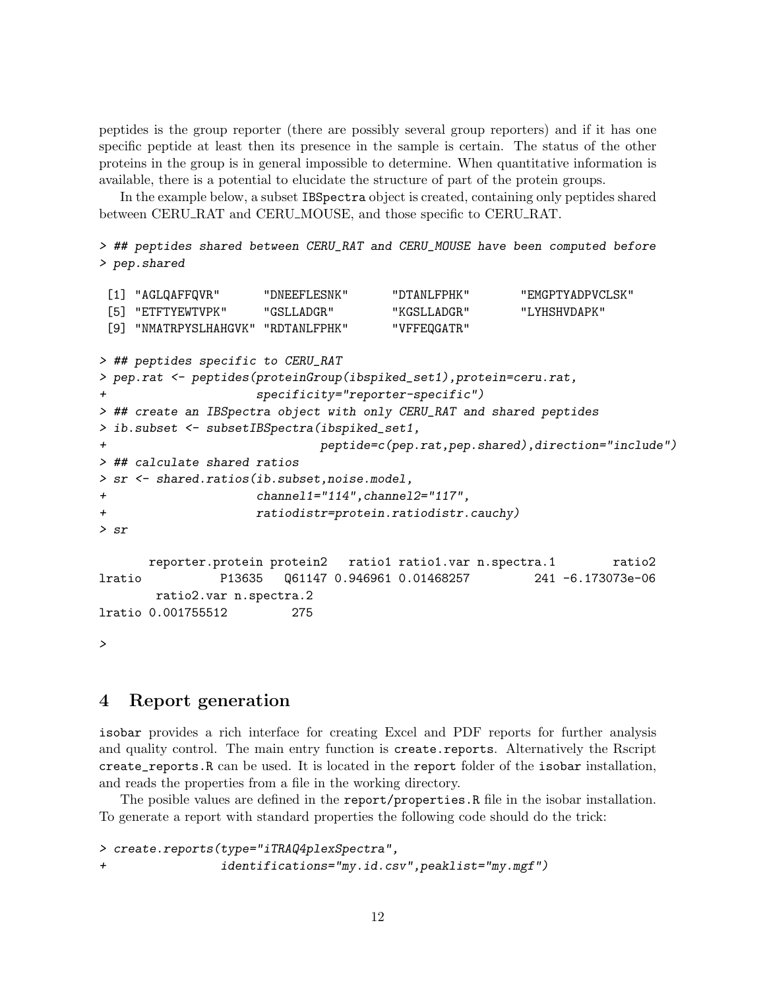peptides is the group reporter (there are possibly several group reporters) and if it has one specific peptide at least then its presence in the sample is certain. The status of the other proteins in the group is in general impossible to determine. When quantitative information is available, there is a potential to elucidate the structure of part of the protein groups.

In the example below, a subset IBSpectra object is created, containing only peptides shared between CERU RAT and CERU MOUSE, and those specific to CERU RAT.

> ## peptides shared between CERU\_RAT and CERU\_MOUSE have been computed before > pep.shared

```
[1] "AGLQAFFQVR" "DNEEFLESNK" "DTANLFPHK" "EMGPTYADPVCLSK"
 [5] "ETFTYEWTVPK" "GSLLADGR" "KGSLLADGR" "LYHSHVDAPK"
 [9] "NMATRPYSLHAHGVK" "RDTANLFPHK" "VFFEQGATR"
> ## peptides specific to CERU_RAT
> pep.rat <- peptides(proteinGroup(ibspiked_set1),protein=ceru.rat,
                   specificity="reporter-specific")
> ## create an IBSpectra object with only CERU_RAT and shared peptides
> ib.subset <- subsetIBSpectra(ibspiked_set1,
+ peptide=c(pep.rat,pep.shared),direction="include")
> ## calculate shared ratios
> sr <- shared.ratios(ib.subset,noise.model,
+ channel1="114",channel2="117",
+ ratiodistr=protein.ratiodistr.cauchy)
> sr
      reporter.protein protein2 ratio1 ratio1.var n.spectra.1 ratio2
lratio P13635 Q61147 0.946961 0.01468257 241 -6.173073e-06
      ratio2.var n.spectra.2
lratio 0.001755512 275
\mathbf{v}
```
<span id="page-11-0"></span>4 Report generation

isobar provides a rich interface for creating Excel and PDF reports for further analysis and quality control. The main entry function is create.reports. Alternatively the Rscript create\_reports.R can be used. It is located in the report folder of the isobar installation, and reads the properties from a file in the working directory.

The posible values are defined in the report/properties.R file in the isobar installation. To generate a report with standard properties the following code should do the trick:

> create.reports(type="iTRAQ4plexSpectra", + identifications="my.id.csv",peaklist="my.mgf")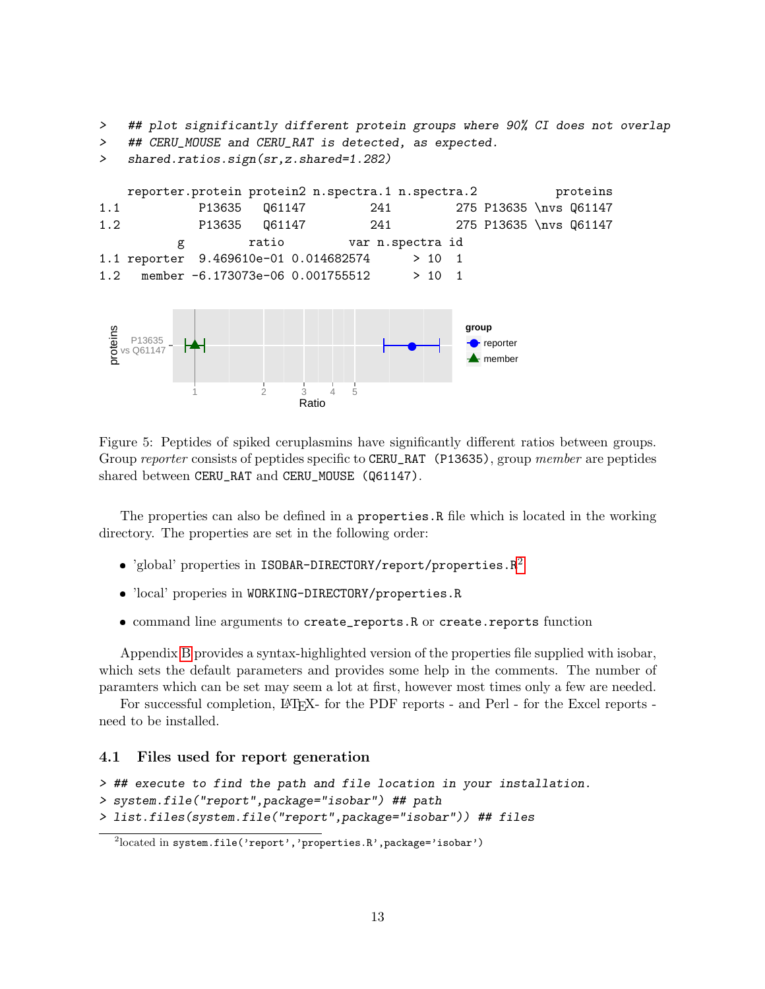> ## plot significantly different protein groups where 90% CI does not overlap

> ## CERU\_MOUSE and CERU\_RAT is detected, as expected.



Figure 5: Peptides of spiked ceruplasmins have significantly different ratios between groups. Group reporter consists of peptides specific to CERU\_RAT (P13635), group member are peptides shared between CERU\_RAT and CERU\_MOUSE (Q61147).

The properties can also be defined in a properties.R file which is located in the working directory. The properties are set in the following order:

- $\bullet$  'global' properties in ISOBAR-DIRECTORY/report/properties.R<sup>[2](#page-12-1)</sup>
- 'local' properies in WORKING-DIRECTORY/properties.R
- command line arguments to create\_reports.R or create.reports function

Appendix [B](#page-14-0) provides a syntax-highlighted version of the properties file supplied with isobar, which sets the default parameters and provides some help in the comments. The number of paramters which can be set may seem a lot at first, however most times only a few are needed.

For successful completion, LAT<sub>EX</sub>- for the PDF reports - and Perl - for the Excel reports need to be installed.

#### <span id="page-12-0"></span>4.1 Files used for report generation

```
> ## execute to find the path and file location in your installation.
```

```
> system.file("report",package="isobar") ## path
```

```
> list.files(system.file("report",package="isobar")) ## files
```
<span id="page-12-1"></span> $^{2}$ located in system.file('report','properties.R',package='isobar')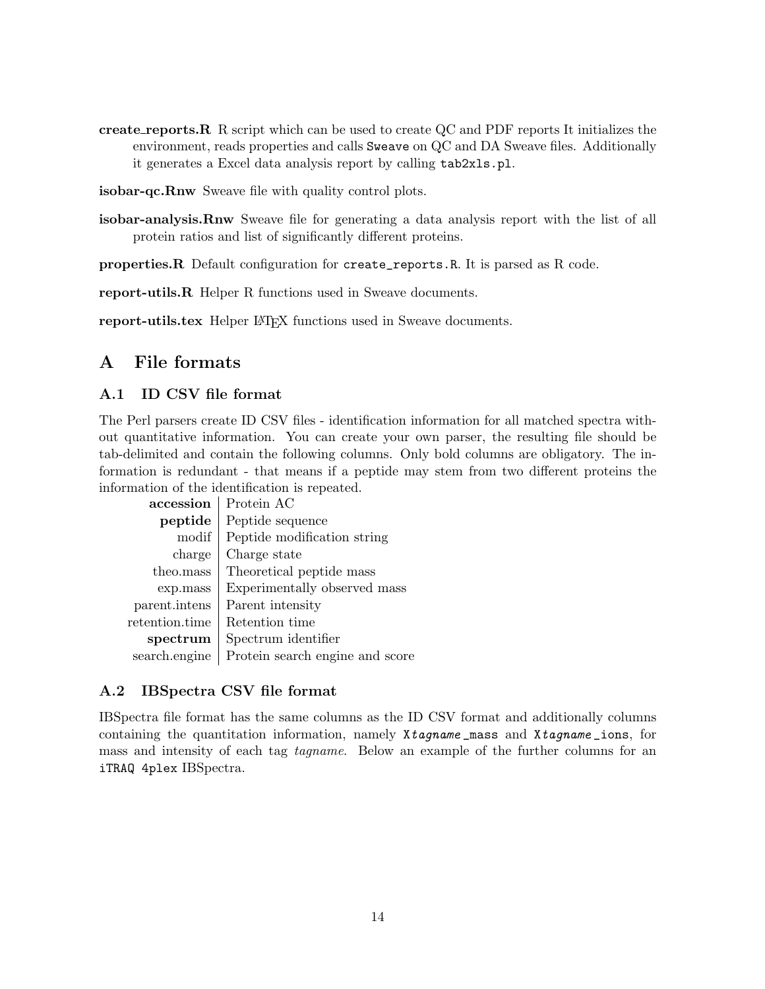create reports.R R script which can be used to create QC and PDF reports It initializes the environment, reads properties and calls Sweave on QC and DA Sweave files. Additionally it generates a Excel data analysis report by calling tab2xls.pl.

isobar-qc.Rnw Sweave file with quality control plots.

isobar-analysis.Rnw Sweave file for generating a data analysis report with the list of all protein ratios and list of significantly different proteins.

properties.R Default configuration for create\_reports.R. It is parsed as R code.

report-utils.R Helper R functions used in Sweave documents.

report-utils.tex Helper LAT<sub>EX</sub> functions used in Sweave documents.

## <span id="page-13-0"></span>A File formats

### <span id="page-13-1"></span>A.1 ID CSV file format

The Perl parsers create ID CSV files - identification information for all matched spectra without quantitative information. You can create your own parser, the resulting file should be tab-delimited and contain the following columns. Only bold columns are obligatory. The information is redundant - that means if a peptide may stem from two different proteins the information of the identification is repeated.

| accession            | Protein AC                      |
|----------------------|---------------------------------|
| peptide              | Peptide sequence                |
| modif                | Peptide modification string     |
| charge               | Charge state                    |
| theo.mass            | Theoretical peptide mass        |
| exp.mass             | Experimentally observed mass    |
| parent.intens        | Parent intensity                |
| $\rm retention.time$ | Retention time                  |
| spectrum             | Spectrum identifier             |
| search.engine        | Protein search engine and score |

#### <span id="page-13-2"></span>A.2 IBSpectra CSV file format

IBSpectra file format has the same columns as the ID CSV format and additionally columns containing the quantitation information, namely Xtagname mass and Xtagname ions, for mass and intensity of each tag tagname. Below an example of the further columns for an iTRAQ 4plex IBSpectra.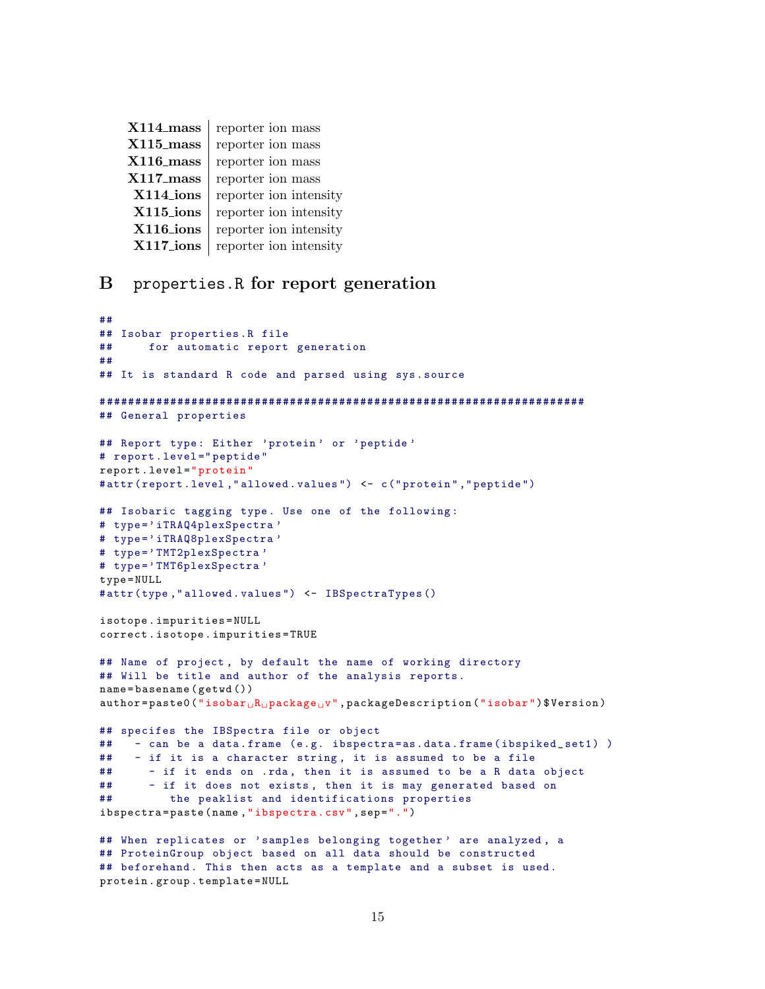| $X114$ <sub>mass</sub> | reporter ion mass      |
|------------------------|------------------------|
| $X115$ <sub>mass</sub> | reporter ion mass      |
| $X116$ _mass           | reporter ion mass      |
| $X117$ _mass           | reporter ion mass      |
| X114_ions              | reporter ion intensity |
| X115_ions              | reporter ion intensity |
| X116_ions              | reporter ion intensity |
| X117_ions              | reporter ion intensity |

## <span id="page-14-0"></span>B properties.R for report generation

```
##
## Isobar properties .R file
## for automatic report generation
##
## It is standard R code and parsed using sys. source
# ####################################################################
## General properties
## Report type: Either 'protein' or 'peptide'
# report . level =" peptide "
report . level =" protein "
# attr ( report .level ," allowed . values ") <- c(" protein " ," peptide ")
## Isobaric tagging type. Use one of the following:
# type='iTRAQ4plexSpectra'
# type = ' iTRAQ8plexSpectra '
# type = ' TMT2plexSpectra '
# type = ' TMT6plexSpectra '
type = NULL
# attr (type ," allowed . values ") <- IBSpectraTypes ()
isotope . impurities = NULL
correct . isotope . impurities = TRUE
## Name of project , by default the name of working directory
## Will be title and author of the analysis reports.
name = basename ( getwd ())
author = paste0("isobar<sub>U</sub>R<sub>U</sub>package<sub>U</sub>", packageDescription("isobar")$ Version)
## specifes the IBSpectra file or object
## - can be a data.frame (e.g. ibspectra=as.data.frame(ibspiked_set1))
## - if it is a character string , it is assumed to be a file
## - if it ends on .rda, then it is assumed to be a R data object
## - if it does not exists , then it is may generated based on
## the peaklist and identifications properties
ibspectra=paste (name, "ibspectra.csv", sep=".")
## When replicates or 'samples belonging together' are analyzed, a
## ProteinGroup object based on all data should be constructed
## beforehand. This then acts as a template and a subset is used.
protein . group . template = NULL
```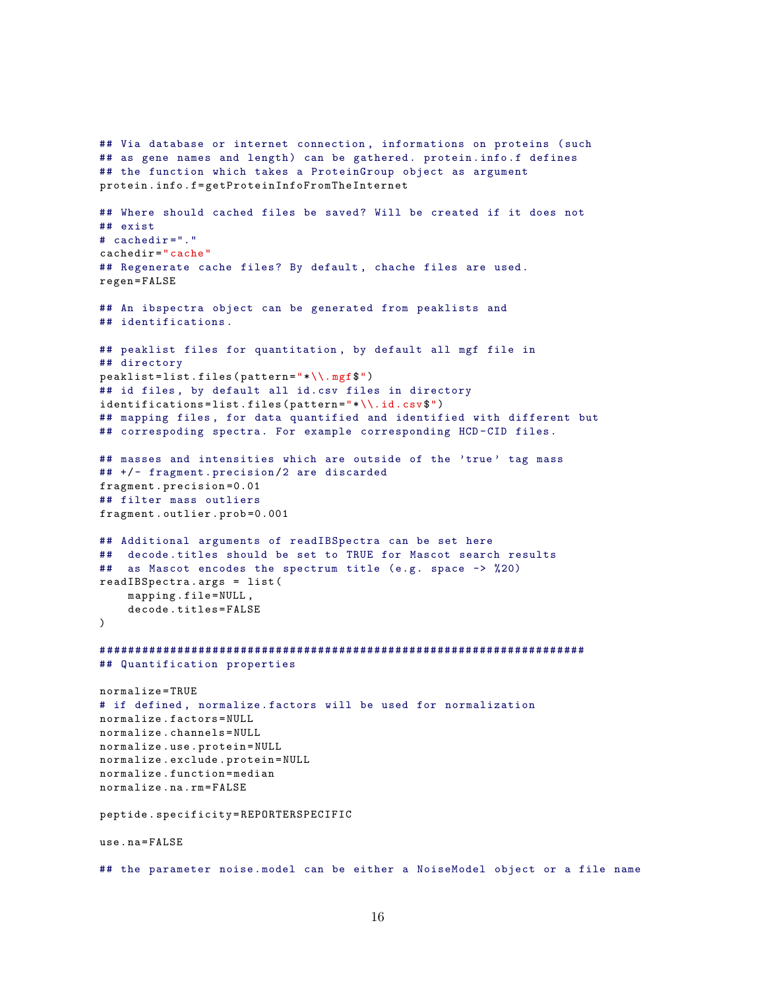```
## Via database or internet connection , informations on proteins ( such
## as gene names and length) can be gathered. protein.info.f defines
## the function which takes a ProteinGroup object as argument
protein . info . f= getProteinInfoFromTheInternet
## Where should cached files be saved? Will be created if it does not
## exist
# cachedir ="."
cachedir =" cache "
## Regenerate cache files? By default, chache files are used.
regen = FALSE
## An ibspectra object can be generated from peaklists and
## identifications .
## peaklist files for quantitation , by default all mgf file in
## directory
peaklist = list . files ( pattern ="*\\. mgf$")
## id files, by default all id.csv files in directory
identifications=list.files(pattern="*\\.id.csv$")
## mapping files , for data quantified and identified with different but
## correspoding spectra. For example corresponding HCD-CID files.
## masses and intensities which are outside of the 'true' tag mass
## +/- fragment . precision /2 are discarded
fragment . precision =0.01
## filter mass outliers
fragment . outlier . prob =0.001
## Additional arguments of readIBSpectra can be set here
## decode . titles should be set to TRUE for Mascot search results
## as Mascot encodes the spectrum title (e.g. space -> %20)
readIBSpectra . args = list (
    mapping.file=NULL,
    decode . titles = FALSE
\lambda# ####################################################################
## Quantification properties
normalize = TRUE
# if defined , normalize . factors will be used for normalization
normalize . factors = NULL
normalize . channels = NULL
normalize . use . protein = NULL
normalize . exclude . protein = NULL
normalize . function = median
normalize na rm = FAISTEpeptide . specificity = REPORTERSPECIFIC
use . na = FALSE
## the parameter noise . model can be either a NoiseModel object or a file name
```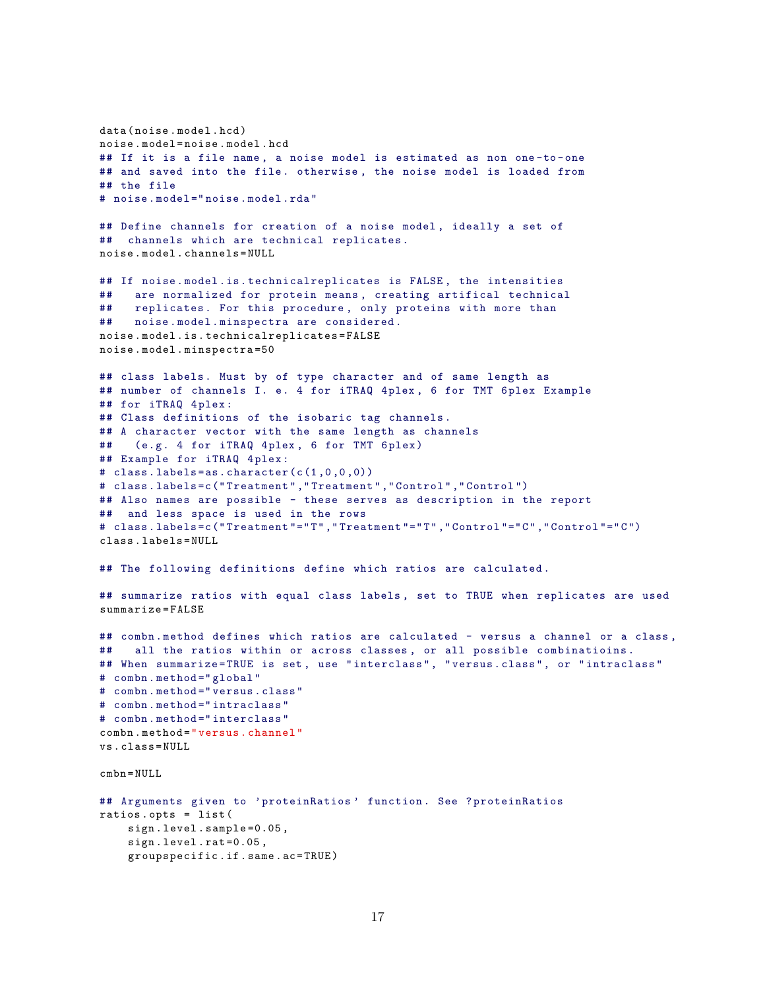```
data (noise.model.hcd)
noise . model = noise . model . hcd
## If it is a file name, a noise model is estimated as non one-to-one
## and saved into the file. otherwise, the noise model is loaded from
## the file
# noise . model =" noise . model .rda"
## Define channels for creation of a noise model , ideally a set of
## channels which are technical replicates .
noise . model . channels = NULL
## If noise . model .is. technicalreplicates is FALSE , the intensities
## are normalized for protein means, creating artifical technical
## replicates. For this procedure, only proteins with more than
## noise . model . minspectra are considered .
noise . model . is . technicalreplicates = FALSE
noise . model . minspectra =50
## class labels . Must by of type character and of same length as
## number of channels I. e. 4 for iTRAQ 4plex , 6 for TMT 6 plex Example
## for iTRAQ 4plex:
## Class definitions of the isobaric tag channels .
## A character vector with the same length as channels
## (e.g. 4 for iTRAQ 4plex, 6 for TMT 6plex)
## Example for iTRAQ 4plex:
# class . labels =as. character (c(1 ,0 ,0 ,0))
# class . labels =c(" Treatment " ," Treatment " ," Control " ," Control ")
## Also names are possible - these serves as description in the report
## and less space is used in the rows
# class . labels =c(" Treatment "="T" ," Treatment "="T" ," Control "="C" ," Control "="C")
class . labels = NULL
## The following definitions define which ratios are calculated.
## summarize ratios with equal class labels , set to TRUE when replicates are used
summarize = FALSE
## combn. method defines which ratios are calculated - versus a channel or a class,
## all the ratios within or across classes , or all possible combinatioins .
## When summarize=TRUE is set, use "interclass", "versus.class", or "intraclass"
# combn.method="global"
# combn . method =" versus . class "
# combn.method="intraclass"
# combn.method="interclass"
combn . method =" versus . channel "
vs . class = NULL
cmbn = NULL
## Arguments given to 'proteinRatios ' function . See ? proteinRatios
ratios . opts = list (
    sign . level . sample =0.05 ,
    sign . level . rat =0.05 ,
    groupspecific . if . same . ac = TRUE )
```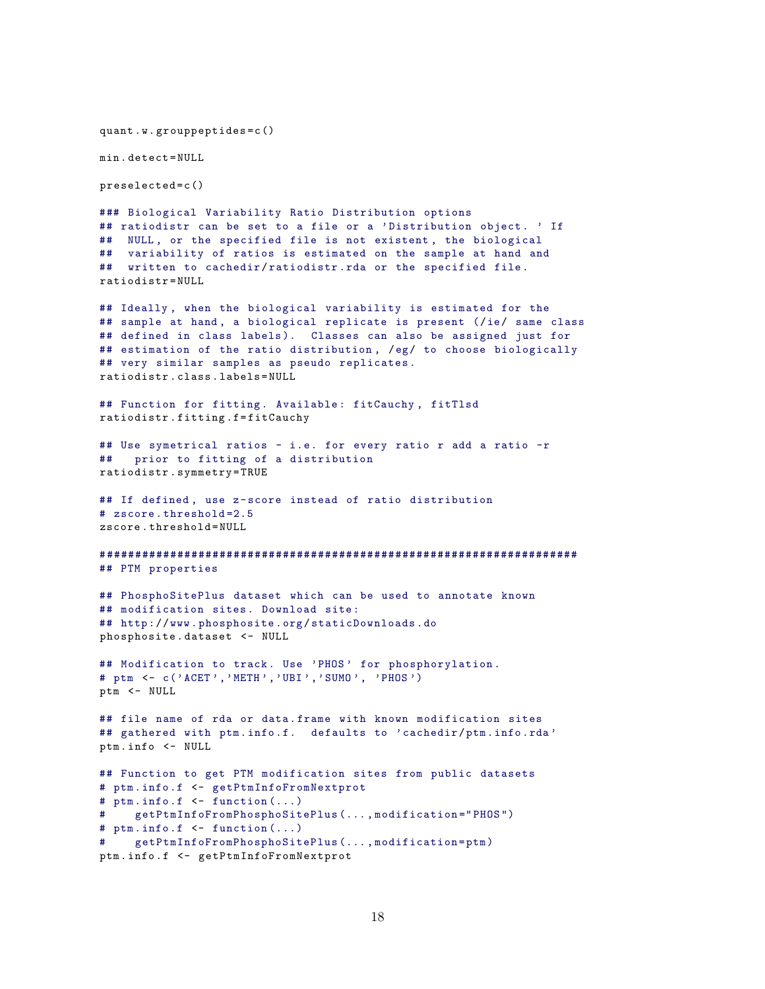```
quant .w . grouppeptides = c ()
min . detect = NULL
preselected = c ()
### Biological Variability Ratio Distribution options
## ratiodistr can be set to a file or a 'Distribution object. ' If
## NULL, or the specified file is not existent, the biological
## variability of ratios is estimated on the sample at hand and
## written to cachedir/ratiodistr.rda or the specified file.
ratiodistr = NULL
## Ideally , when the biological variability is estimated for the
## sample at hand, a biological replicate is present (/ie/ same class
## defined in class labels). Classes can also be assigned just for
## estimation of the ratio distribution , /eg/ to choose biologically
## very similar samples as pseudo replicates .
ratiodistr . class . labels = NULL
## Function for fitting. Available: fitCauchy, fitTlsd
ratiodistr . fitting .f = fitCauchy
## Use symetrical ratios - i.e. for every ratio r add a ratio -r
## prior to fitting of a distribution
ratiodistr . symmetry = TRUE
## If defined, use z-score instead of ratio distribution
# zscore . threshold =2.5
zscore . threshold = NULL
# ###################################################################
## PTM properties
## PhosphoSitePlus dataset which can be used to annotate known
## modification sites. Download site:
## http :/ /www. phosphosite .org/ staticDownloads .do
phosphosite . dataset <- NULL
## Modification to track. Use 'PHOS' for phosphorylation.
# ptm <- c('ACET','METH','UBI','SUMO', 'PHOS')
ptm <- NULL
## file name of rda or data . frame with known modification sites
## gathered with ptm.info.f. defaults to 'cachedir/ptm.info.rda'
ptm . info <- NULL
## Function to get PTM modification sites from public datasets
# ptm. info .f <- getPtmInfoFromNextprot
# ptm. info .f <- function (...)
     getPtmInfoFromPhosphoSitePlus (..., modification = " PHOS ")
# ptm. info .f <- function (...)
# getPtmInfoFromPhosphoSitePlus (... , modification =ptm)
ptm . info .f <- getPtmInfoFromNextprot
```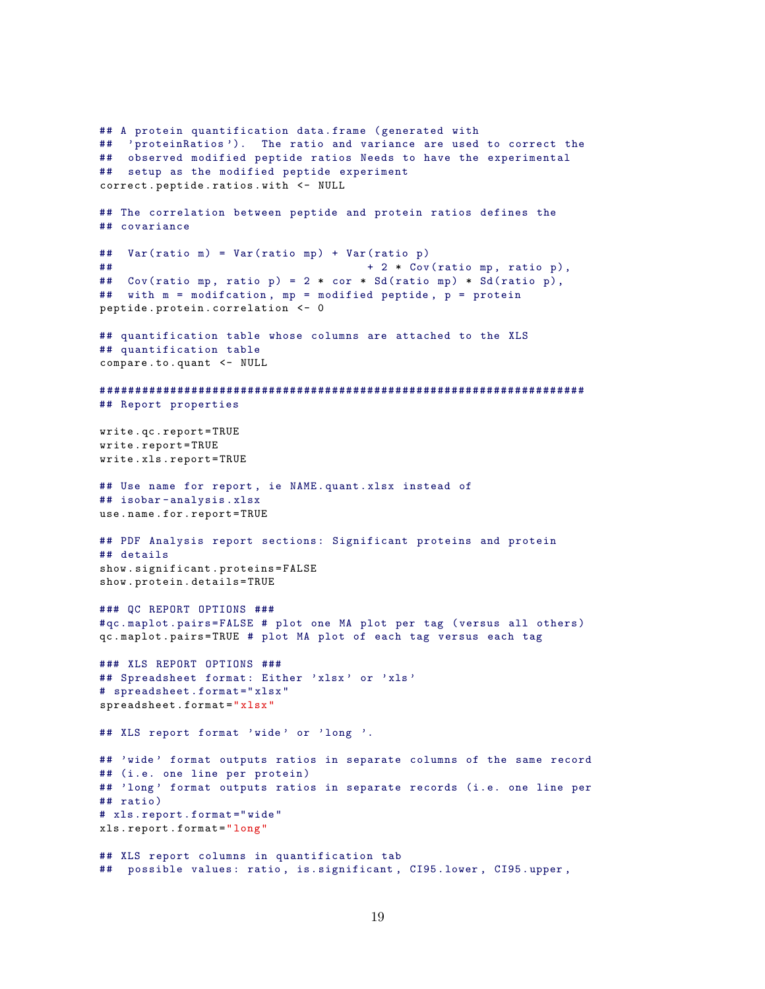```
## A protein quantification data . frame ( generated with
## 'proteinRatios '). The ratio and variance are used to correct the
## observed modified peptide ratios Needs to have the experimental
## setup as the modified peptide experiment
correct . peptide . ratios . with <- NULL
## The correlation between peptide and protein ratios defines the
## covariance
## Var( ratio m) = Var( ratio mp) + Var( ratio p)
## + 2 * Cov( ratio mp , ratio p),
## Cov(ratio mp, ratio p) = 2 * cor * Sd(ratio mp) * Sd(ratio p),
## with m = modifcation , mp = modified peptide , p = protein
peptide . protein . correlation <- 0
## quantification table whose columns are attached to the XLS
## quantification table
compare . to . quant <- NULL
# ####################################################################
## Report properties
write . qc . report = TRUE
write . report = TRUE
write . xls . report = TRUE
## Use name for report , ie NAME . quant . xlsx instead of
## isobar - analysis . xlsx
use . name . for . report = TRUE
## PDF Analysis report sections: Significant proteins and protein
## details
show . significant . proteins = FALSE
show . protein . details = TRUE
### QC REPORT OPTIONS ###
#qc. maplot. pairs=FALSE # plot one MA plot per tag (versus all others)
qc . maplot . pairs = TRUE # plot MA plot of each tag versus each tag
### XLS REPORT OPTIONS ###
## Spreadsheet format: Either 'xlsx' or 'xls'
# spreadsheet . format =" xlsx "
spreadsheet . format =" xlsx "
## XLS report format 'wide ' or 'long '.
## 'wide ' format outputs ratios in separate columns of the same record
## (i.e. one line per protein )
## 'long' format outputs ratios in separate records (i.e. one line per
## ratio )
# xls.report.format="wide"
xls . report . format =" long "
## XLS report columns in quantification tab
## possible values: ratio, is. significant, CI95.1ower, CI95.upper,
```

```
19
```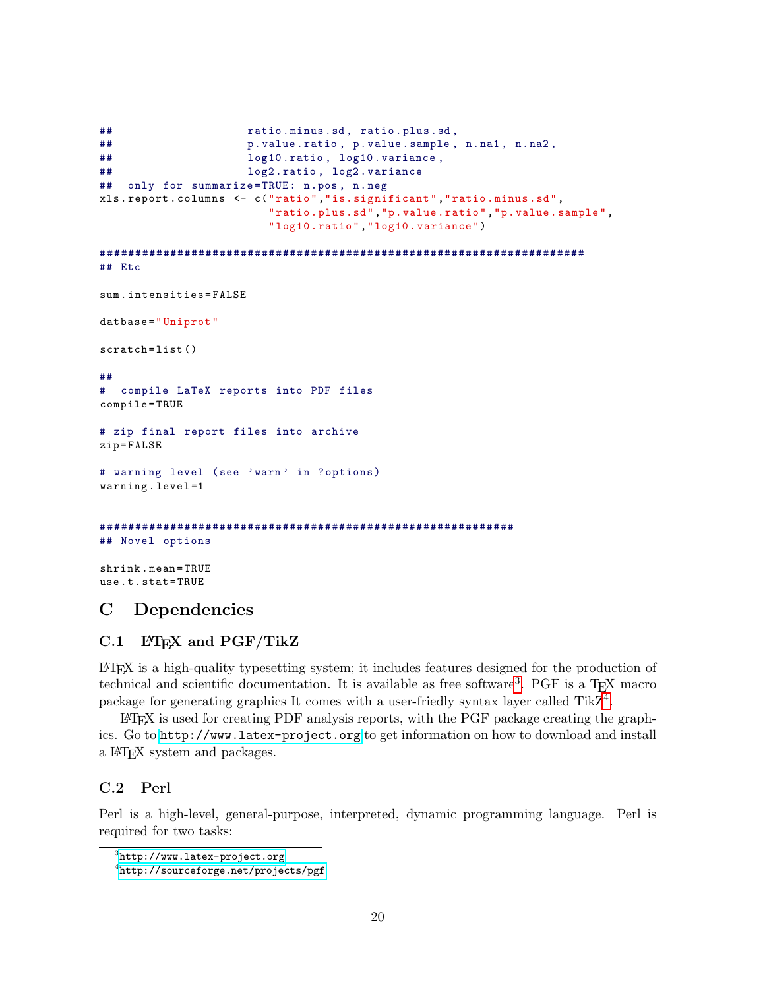```
## ratio . minus .sd , ratio . plus .sd ,
## p. value .ratio , p. value .sample , n.na1 , n.na2 ,
## log10 .ratio , log10 . variance ,
## log2 .ratio , log2 . variance
## only for summarize = TRUE : n.pos , n.neg
xls . report . columns <- c (" ratio ","is. significant "," ratio . minus .sd",
                        " ratio . plus .sd","p. value . ratio ","p. value . sample ",
                        " log10 . ratio "," log10 . variance ")
# ####################################################################
## Etc
sum . intensities = FALSE
datbase="Uniprot"
scratch=list()
##
# compile LaTeX reports into PDF files
compile = TRUE
# zip final report files into archive
zip = FALSE
# warning level (see 'warn' in ? options)
warning . level =1
# ##########################################################
## Novel options
shrink . mean = TRUE
use .t . stat = TRUE
```
## <span id="page-19-0"></span>C Dependencies

## <span id="page-19-1"></span> $C.1$  LAT<sub>F</sub>X and PGF/TikZ

LATEX is a high-quality typesetting system; it includes features designed for the production of technical and scientific documentation. It is available as free software<sup>[3](#page-19-3)</sup>. PGF is a T<sub>E</sub>X macro package for generating graphics It comes with a user-friedly syntax layer called TikZ<sup>[4](#page-19-4)</sup>.

LATEX is used for creating PDF analysis reports, with the PGF package creating the graphics. Go to <http://www.latex-project.org> to get information on how to download and install a LATEX system and packages.

#### <span id="page-19-2"></span>C.2 Perl

Perl is a high-level, general-purpose, interpreted, dynamic programming language. Perl is required for two tasks:

<span id="page-19-3"></span> $^3$ <http://www.latex-project.org>

<span id="page-19-4"></span> $^4$ <http://sourceforge.net/projects/pgf>